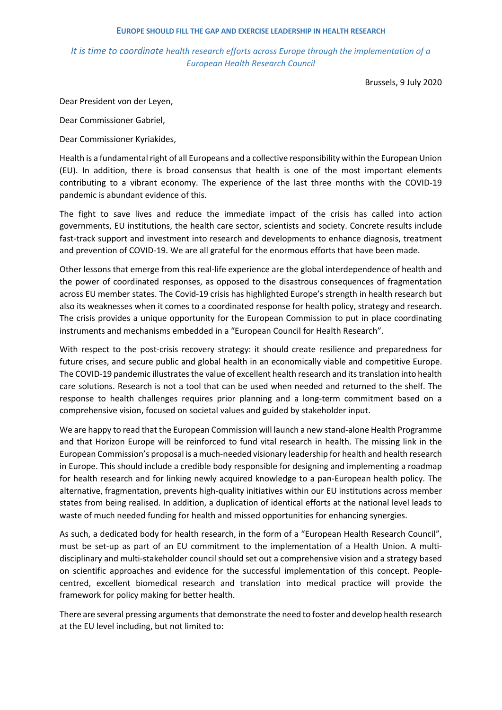## **EUROPE SHOULD FILL THE GAP AND EXERCISE LEADERSHIP IN HEALTH RESEARCH**

## *It is time to coordinate health research efforts across Europe through the implementation of a European Health Research Council*

Brussels, 9 July 2020

Dear President von der Leyen,

Dear Commissioner Gabriel,

Dear Commissioner Kyriakides,

Health is a fundamental right of all Europeans and a collective responsibility within the European Union (EU). In addition, there is broad consensus that health is one of the most important elements contributing to a vibrant economy. The experience of the last three months with the COVID-19 pandemic is abundant evidence of this.

The fight to save lives and reduce the immediate impact of the crisis has called into action governments, EU institutions, the health care sector, scientists and society. Concrete results include fast-track support and investment into research and developments to enhance diagnosis, treatment and prevention of COVID-19. We are all grateful for the enormous efforts that have been made.

Other lessons that emerge from this real-life experience are the global interdependence of health and the power of coordinated responses, as opposed to the disastrous consequences of fragmentation across EU member states. The Covid-19 crisis has highlighted Europe's strength in health research but also its weaknesses when it comes to a coordinated response for health policy, strategy and research. The crisis provides a unique opportunity for the European Commission to put in place coordinating instruments and mechanisms embedded in a "European Council for Health Research".

With respect to the post-crisis recovery strategy: it should create resilience and preparedness for future crises, and secure public and global health in an economically viable and competitive Europe. The COVID-19 pandemic illustrates the value of excellent health research and its translation into health care solutions. Research is not a tool that can be used when needed and returned to the shelf. The response to health challenges requires prior planning and a long-term commitment based on a comprehensive vision, focused on societal values and guided by stakeholder input.

We are happy to read that the European Commission will launch a new stand-alone Health Programme and that Horizon Europe will be reinforced to fund vital research in health. The missing link in the European Commission's proposal is a much-needed visionary leadership for health and health research in Europe. This should include a credible body responsible for designing and implementing a roadmap for health research and for linking newly acquired knowledge to a pan-European health policy. The alternative, fragmentation, prevents high-quality initiatives within our EU institutions across member states from being realised. In addition, a duplication of identical efforts at the national level leads to waste of much needed funding for health and missed opportunities for enhancing synergies.

As such, a dedicated body for health research, in the form of a "European Health Research Council", must be set-up as part of an EU commitment to the implementation of a Health Union. A multidisciplinary and multi-stakeholder council should set out a comprehensive vision and a strategy based on scientific approaches and evidence for the successful implementation of this concept. Peoplecentred, excellent biomedical research and translation into medical practice will provide the framework for policy making for better health.

There are several pressing arguments that demonstrate the need to foster and develop health research at the EU level including, but not limited to: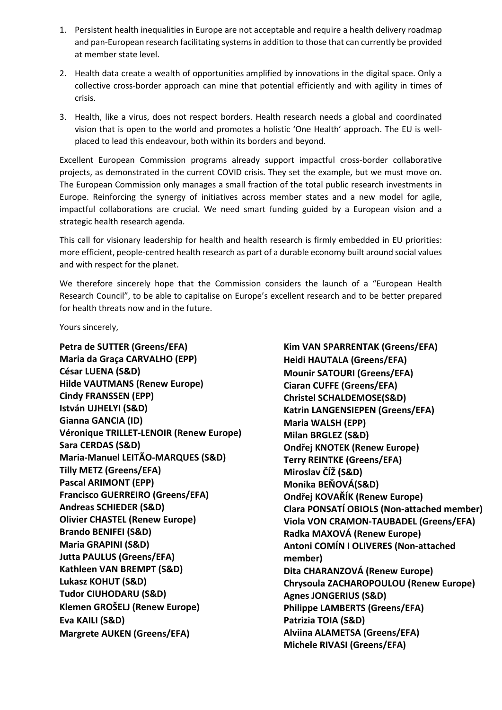- 1. Persistent health inequalities in Europe are not acceptable and require a health delivery roadmap and pan-European research facilitating systemsin addition to those that can currently be provided at member state level.
- 2. Health data create a wealth of opportunities amplified by innovations in the digital space. Only a collective cross-border approach can mine that potential efficiently and with agility in times of crisis.
- 3. Health, like a virus, does not respect borders. Health research needs a global and coordinated vision that is open to the world and promotes a holistic 'One Health' approach. The EU is wellplaced to lead this endeavour, both within its borders and beyond.

Excellent European Commission programs already support impactful cross-border collaborative projects, as demonstrated in the current COVID crisis. They set the example, but we must move on. The European Commission only manages a small fraction of the total public research investments in Europe. Reinforcing the synergy of initiatives across member states and a new model for agile, impactful collaborations are crucial. We need smart funding guided by a European vision and a strategic health research agenda.

This call for visionary leadership for health and health research is firmly embedded in EU priorities: more efficient, people-centred health research as part of a durable economy built around social values and with respect for the planet.

We therefore sincerely hope that the Commission considers the launch of a "European Health Research Council", to be able to capitalise on Europe's excellent research and to be better prepared for health threats now and in the future.

Yours sincerely,

**Petra de SUTTER (Greens/EFA) Maria da Graça CARVALHO (EPP) César LUENA (S&D) Hilde VAUTMANS (Renew Europe) Cindy FRANSSEN (EPP) István UJHELYI (S&D) Gianna GANCIA (ID) Véronique TRILLET-LENOIR (Renew Europe) Sara CERDAS (S&D) Maria-Manuel LEITÃO-MARQUES (S&D) Tilly METZ (Greens/EFA) Pascal ARIMONT (EPP) Francisco GUERREIRO (Greens/EFA) Andreas SCHIEDER (S&D) Olivier CHASTEL (Renew Europe) Brando BENIFEI (S&D) Maria GRAPINI (S&D) Jutta PAULUS (Greens/EFA) Kathleen VAN BREMPT (S&D) Lukasz KOHUT (S&D) Tudor CIUHODARU (S&D) Klemen GROŠELJ (Renew Europe) Eva KAILI (S&D) Margrete AUKEN (Greens/EFA)** 

**Kim VAN SPARRENTAK (Greens/EFA) Heidi HAUTALA (Greens/EFA) Mounir SATOURI (Greens/EFA) Ciaran CUFFE (Greens/EFA) Christel SCHALDEMOSE(S&D) Katrin LANGENSIEPEN (Greens/EFA) Maria WALSH (EPP) Milan BRGLEZ (S&D) Ondřej KNOTEK (Renew Europe) Terry REINTKE (Greens/EFA) Miroslav ČÍŽ (S&D) Monika BEŇOVÁ(S&D) Ondřej KOVAŘÍK (Renew Europe) Clara PONSATÍ OBIOLS (Non-attached member) Viola VON CRAMON-TAUBADEL (Greens/EFA) Radka MAXOVÁ (Renew Europe) Antoni COMÍN I OLIVERES (Non-attached member) Dita CHARANZOVÁ (Renew Europe) Chrysoula ZACHAROPOULOU (Renew Europe) Agnes JONGERIUS (S&D) Philippe LAMBERTS (Greens/EFA) Patrizia TOIA (S&D) Alviina ALAMETSA (Greens/EFA) Michele RIVASI (Greens/EFA)**